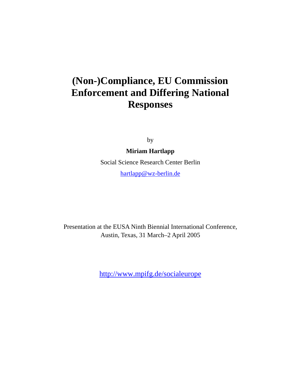# **(Non-)Compliance, EU Commission Enforcement and Differing National Responses**

by

**Miriam Hartlapp** 

Social Science Research Center Berlin hartlapp@wz-berlin.de

Presentation at the EUSA Ninth Biennial International Conference, Austin, Texas, 31 March–2 April 2005

http://www.mpifg.de/socialeurope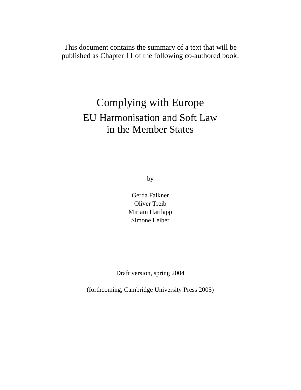This document contains the summary of a text that will be published as Chapter 11 of the following co-authored book:

# Complying with Europe EU Harmonisation and Soft Law in the Member States

by

Gerda Falkner Oliver Treib Miriam Hartlapp Simone Leiber

Draft version, spring 2004

(forthcoming, Cambridge University Press 2005)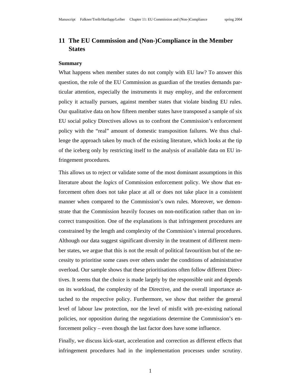### **11 The EU Commission and (Non-)Compliance in the Member States**

#### **Summary**

What happens when member states do not comply with EU law? To answer this question, the role of the EU Commission as guardian of the treaties demands particular attention, especially the instruments it may employ, and the enforcement policy it actually pursues, against member states that violate binding EU rules. Our qualitative data on how fifteen member states have transposed a sample of six EU social policy Directives allows us to confront the Commission's enforcement policy with the "real" amount of domestic transposition failures. We thus challenge the approach taken by much of the existing literature, which looks at the tip of the iceberg only by restricting itself to the analysis of available data on EU infringement procedures.

This allows us to reject or validate some of the most dominant assumptions in this literature about the *logics* of Commission enforcement policy. We show that enforcement often does not take place at all or does not take place in a consistent manner when compared to the Commission's own rules. Moreover, we demonstrate that the Commission heavily focuses on non-notification rather than on incorrect transposition. One of the explanations is that infringement procedures are constrained by the length and complexity of the Commision's internal procedures. Although our data suggest significant diversity in the treatment of different member states, we argue that this is not the result of political favouritism but of the necessity to prioritise some cases over others under the conditions of administrative overload. Our sample shows that these prioritisations often follow different Directives. It seems that the choice is made largely by the responsible unit and depends on its workload, the complexity of the Directive, and the overall importance attached to the respective policy. Furthermore, we show that neither the general level of labour law protection, nor the level of misfit with pre-existing national policies, nor opposition during the negotiations determine the Commission's enforcement policy – even though the last factor does have some influence.

Finally, we discuss kick-start, acceleration and correction as different effects that infringement procedures had in the implementation processes under scrutiny.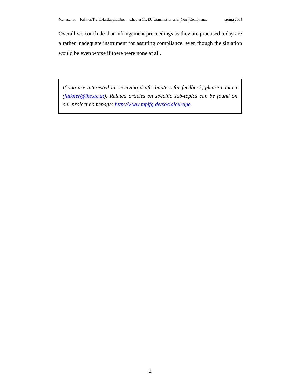Overall we conclude that infringement proceedings as they are practised today are a rather inadequate instrument for assuring compliance, even though the situation would be even worse if there were none at all.

*If you are interested in receiving draft chapters for feedback, please contact (falkner@ihs.ac.at). Related articles on specific sub-topics can be found on our project homepage: http://www.mpifg.de/socialeurope.*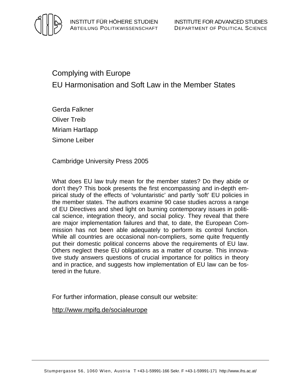

# Complying with Europe EU Harmonisation and Soft Law in the Member States

Gerda Falkner Oliver Treib Miriam Hartlapp Simone Leiber

Cambridge University Press 2005

What does EU law truly mean for the member states? Do they abide or don't they? This book presents the first encompassing and in-depth empirical study of the effects of 'voluntaristic' and partly 'soft' EU policies in the member states. The authors examine 90 case studies across a range of EU Directives and shed light on burning contemporary issues in political science, integration theory, and social policy. They reveal that there are major implementation failures and that, to date, the European Commission has not been able adequately to perform its control function. While all countries are occasional non-compliers, some quite frequently put their domestic political concerns above the requirements of EU law. Others neglect these EU obligations as a matter of course. This innovative study answers questions of crucial importance for politics in theory and in practice, and suggests how implementation of EU law can be fostered in the future.

For further information, please consult our website:

http://www.mpifg.de/socialeurope